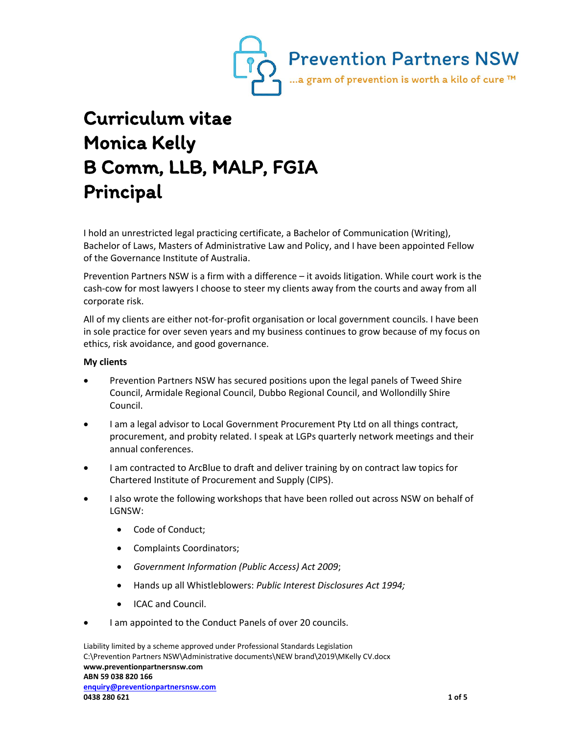

## Curriculum vitae Monica Kelly B Comm, LLB, MALP, FGIA Principal

I hold an unrestricted legal practicing certificate, a Bachelor of Communication (Writing), Bachelor of Laws, Masters of Administrative Law and Policy, and I have been appointed Fellow of the Governance Institute of Australia.

Prevention Partners NSW is a firm with a difference – it avoids litigation. While court work is the cash-cow for most lawyers I choose to steer my clients away from the courts and away from all corporate risk.

All of my clients are either not-for-profit organisation or local government councils. I have been in sole practice for over seven years and my business continues to grow because of my focus on ethics, risk avoidance, and good governance.

## **My clients**

- Prevention Partners NSW has secured positions upon the legal panels of Tweed Shire Council, Armidale Regional Council, Dubbo Regional Council, and Wollondilly Shire Council.
- I am a legal advisor to Local Government Procurement Pty Ltd on all things contract, procurement, and probity related. I speak at LGPs quarterly network meetings and their annual conferences.
- I am contracted to ArcBlue to draft and deliver training by on contract law topics for Chartered Institute of Procurement and Supply (CIPS).
- I also wrote the following workshops that have been rolled out across NSW on behalf of LGNSW:
	- Code of Conduct:
	- Complaints Coordinators;
	- *Government Information (Public Access) Act 2009*;
	- Hands up all Whistleblowers: *Public Interest Disclosures Act 1994;*
	- ICAC and Council.
- I am appointed to the Conduct Panels of over 20 councils.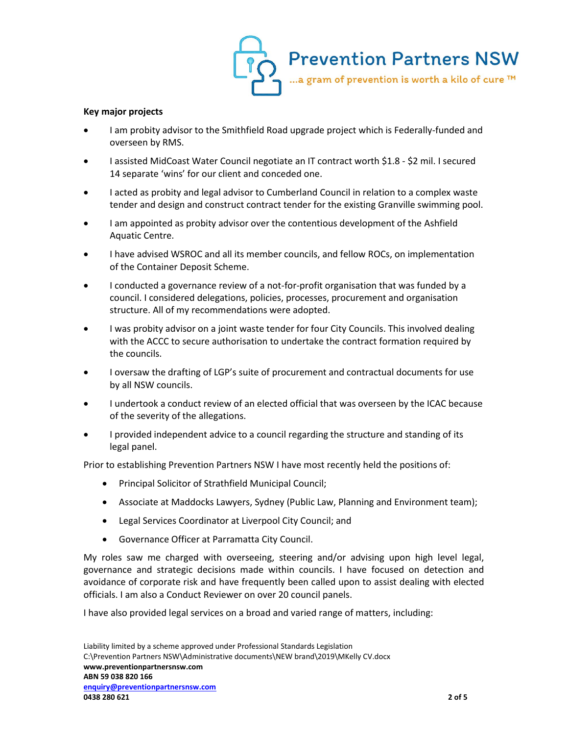

## **Key major projects**

- I am probity advisor to the Smithfield Road upgrade project which is Federally-funded and overseen by RMS.
- I assisted MidCoast Water Council negotiate an IT contract worth \$1.8 \$2 mil. I secured 14 separate 'wins' for our client and conceded one.
- I acted as probity and legal advisor to Cumberland Council in relation to a complex waste tender and design and construct contract tender for the existing Granville swimming pool.
- I am appointed as probity advisor over the contentious development of the Ashfield Aquatic Centre.
- I have advised WSROC and all its member councils, and fellow ROCs, on implementation of the Container Deposit Scheme.
- I conducted a governance review of a not-for-profit organisation that was funded by a council. I considered delegations, policies, processes, procurement and organisation structure. All of my recommendations were adopted.
- I was probity advisor on a joint waste tender for four City Councils. This involved dealing with the ACCC to secure authorisation to undertake the contract formation required by the councils.
- I oversaw the drafting of LGP's suite of procurement and contractual documents for use by all NSW councils.
- I undertook a conduct review of an elected official that was overseen by the ICAC because of the severity of the allegations.
- I provided independent advice to a council regarding the structure and standing of its legal panel.

Prior to establishing Prevention Partners NSW I have most recently held the positions of:

- Principal Solicitor of Strathfield Municipal Council;
- Associate at Maddocks Lawyers, Sydney (Public Law, Planning and Environment team);
- Legal Services Coordinator at Liverpool City Council; and
- Governance Officer at Parramatta City Council.

My roles saw me charged with overseeing, steering and/or advising upon high level legal, governance and strategic decisions made within councils. I have focused on detection and avoidance of corporate risk and have frequently been called upon to assist dealing with elected officials. I am also a Conduct Reviewer on over 20 council panels.

I have also provided legal services on a broad and varied range of matters, including: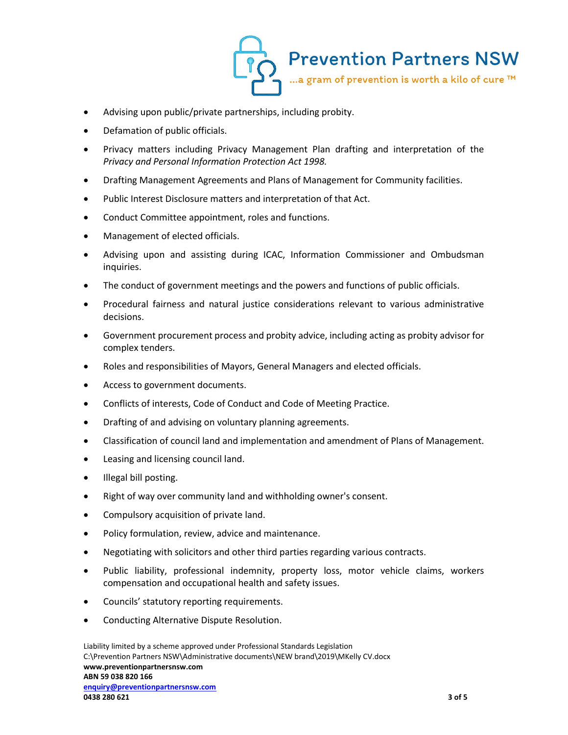

- Advising upon public/private partnerships, including probity.
- Defamation of public officials.
- Privacy matters including Privacy Management Plan drafting and interpretation of the *Privacy and Personal Information Protection Act 1998.*
- Drafting Management Agreements and Plans of Management for Community facilities.
- Public Interest Disclosure matters and interpretation of that Act.
- Conduct Committee appointment, roles and functions.
- Management of elected officials.
- Advising upon and assisting during ICAC, Information Commissioner and Ombudsman inquiries.
- The conduct of government meetings and the powers and functions of public officials.
- Procedural fairness and natural justice considerations relevant to various administrative decisions.
- Government procurement process and probity advice, including acting as probity advisor for complex tenders.
- Roles and responsibilities of Mayors, General Managers and elected officials.
- Access to government documents.
- Conflicts of interests, Code of Conduct and Code of Meeting Practice.
- Drafting of and advising on voluntary planning agreements.
- Classification of council land and implementation and amendment of Plans of Management.
- **•** Leasing and licensing council land.
- Illegal bill posting.
- Right of way over community land and withholding owner's consent.
- Compulsory acquisition of private land.
- Policy formulation, review, advice and maintenance.
- Negotiating with solicitors and other third parties regarding various contracts.
- Public liability, professional indemnity, property loss, motor vehicle claims, workers compensation and occupational health and safety issues.
- Councils' statutory reporting requirements.
- Conducting Alternative Dispute Resolution.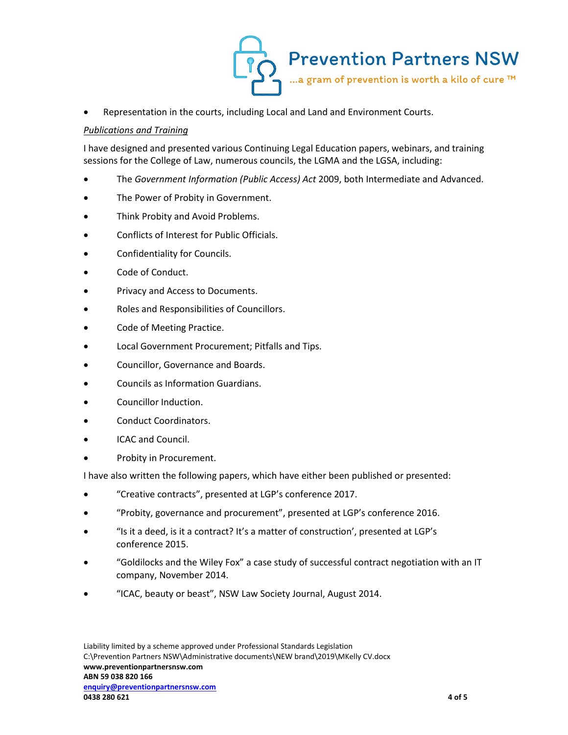

Representation in the courts, including Local and Land and Environment Courts.

## *Publications and Training*

I have designed and presented various Continuing Legal Education papers, webinars, and training sessions for the College of Law, numerous councils, the LGMA and the LGSA, including:

- The *Government Information (Public Access) Act* 2009, both Intermediate and Advanced.
- The Power of Probity in Government.
- Think Probity and Avoid Problems.
- Conflicts of Interest for Public Officials.
- Confidentiality for Councils.
- Code of Conduct.
- Privacy and Access to Documents.
- Roles and Responsibilities of Councillors.
- Code of Meeting Practice.
- Local Government Procurement; Pitfalls and Tips.
- Councillor, Governance and Boards.
- Councils as Information Guardians.
- Councillor Induction.
- Conduct Coordinators.
- ICAC and Council.
- Probity in Procurement.

I have also written the following papers, which have either been published or presented:

- "Creative contracts", presented at LGP's conference 2017.
- "Probity, governance and procurement", presented at LGP's conference 2016.
- "Is it a deed, is it a contract? It's a matter of construction', presented at LGP's conference 2015.
- "Goldilocks and the Wiley Fox" a case study of successful contract negotiation with an IT company, November 2014.
- "ICAC, beauty or beast", NSW Law Society Journal, August 2014.